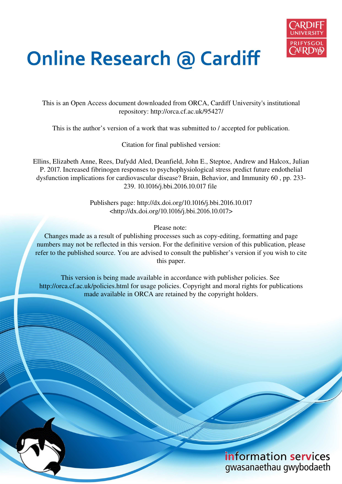

# **Online Research @ Cardiff**

This is an Open Access document downloaded from ORCA, Cardiff University's institutional repository: http://orca.cf.ac.uk/95427/

This is the author's version of a work that was submitted to / accepted for publication.

Citation for final published version:

Ellins, Elizabeth Anne, Rees, Dafydd Aled, Deanfield, John E., Steptoe, Andrew and Halcox, Julian P. 2017. Increased fibrinogen responses to psychophysiological stress predict future endothelial dysfunction implications for cardiovascular disease? Brain, Behavior, and Immunity 60 , pp. 233- 239. 10.1016/j.bbi.2016.10.017 file

> Publishers page: http://dx.doi.org/10.1016/j.bbi.2016.10.017 <http://dx.doi.org/10.1016/j.bbi.2016.10.017>

> > Please note:

Changes made as a result of publishing processes such as copy-editing, formatting and page numbers may not be reflected in this version. For the definitive version of this publication, please refer to the published source. You are advised to consult the publisher's version if you wish to cite this paper.

This version is being made available in accordance with publisher policies. See http://orca.cf.ac.uk/policies.html for usage policies. Copyright and moral rights for publications made available in ORCA are retained by the copyright holders.

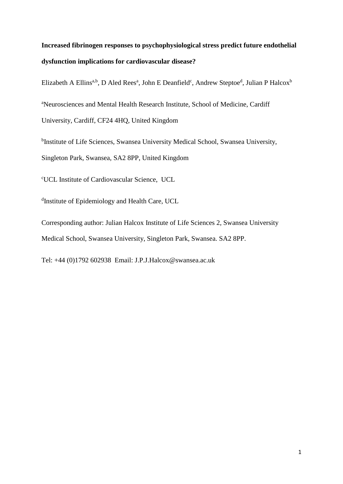# **Increased fibrinogen responses to psychophysiological stress predict future endothelial dysfunction implications for cardiovascular disease?**

Elizabeth A Ellins<sup>a,b</sup>, D Aled Rees<sup>a</sup>, John E Deanfield<sup>c</sup>, Andrew Steptoe<sup>d</sup>, Julian P Halcox<sup>b</sup>

<sup>a</sup>Neurosciences and Mental Health Research Institute, School of Medicine, Cardiff

University, Cardiff, CF24 4HQ, United Kingdom

<sup>b</sup>Institute of Life Sciences, Swansea University Medical School, Swansea University,

Singleton Park, Swansea, SA2 8PP, United Kingdom

<sup>c</sup>UCL Institute of Cardiovascular Science, UCL

dInstitute of Epidemiology and Health Care, UCL

Corresponding author: Julian Halcox Institute of Life Sciences 2, Swansea University Medical School, Swansea University, Singleton Park, Swansea. SA2 8PP.

Tel: +44 (0)1792 602938 Email: J.P.J.Halcox@swansea.ac.uk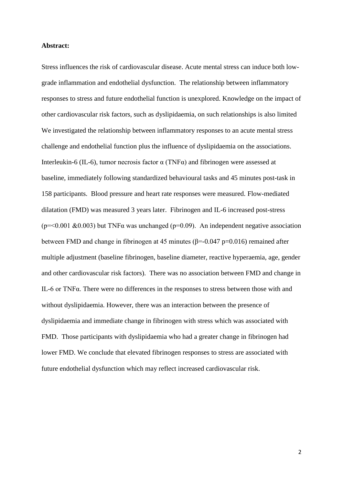#### **Abstract:**

Stress influences the risk of cardiovascular disease. Acute mental stress can induce both lowgrade inflammation and endothelial dysfunction. The relationship between inflammatory responses to stress and future endothelial function is unexplored. Knowledge on the impact of other cardiovascular risk factors, such as dyslipidaemia, on such relationships is also limited We investigated the relationship between inflammatory responses to an acute mental stress challenge and endothelial function plus the influence of dyslipidaemia on the associations. Interleukin-6 (IL-6), tumor necrosis factor α (TNFα) and fibrinogen were assessed at baseline, immediately following standardized behavioural tasks and 45 minutes post-task in 158 participants. Blood pressure and heart rate responses were measured. Flow-mediated dilatation (FMD) was measured 3 years later. Fibrinogen and IL-6 increased post-stress ( $p = 0.001 \& 0.003$ ) but TNF $\alpha$  was unchanged ( $p = 0.09$ ). An independent negative association between FMD and change in fibrinogen at 45 minutes ( $\beta$ =-0.047 p=0.016) remained after multiple adjustment (baseline fibrinogen, baseline diameter, reactive hyperaemia, age, gender and other cardiovascular risk factors). There was no association between FMD and change in IL-6 or TNFα. There were no differences in the responses to stress between those with and without dyslipidaemia. However, there was an interaction between the presence of dyslipidaemia and immediate change in fibrinogen with stress which was associated with FMD. Those participants with dyslipidaemia who had a greater change in fibrinogen had lower FMD. We conclude that elevated fibrinogen responses to stress are associated with future endothelial dysfunction which may reflect increased cardiovascular risk.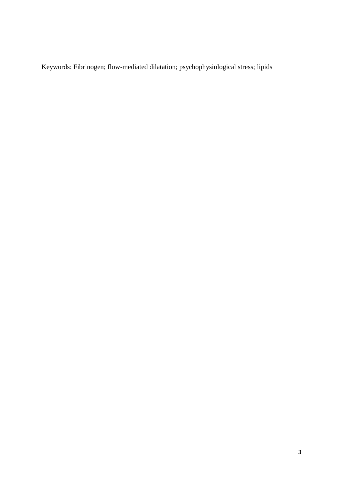Keywords: Fibrinogen; flow-mediated dilatation; psychophysiological stress; lipids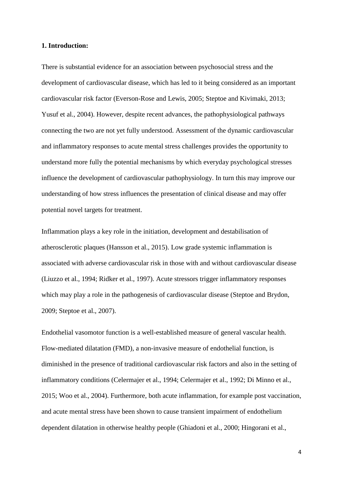#### **1. Introduction:**

There is substantial evidence for an association between psychosocial stress and the development of cardiovascular disease, which has led to it being considered as an important cardiovascular risk factor (Everson-Rose and Lewis, 2005; Steptoe and Kivimaki, 2013; Yusuf et al., 2004). However, despite recent advances, the pathophysiological pathways connecting the two are not yet fully understood. Assessment of the dynamic cardiovascular and inflammatory responses to acute mental stress challenges provides the opportunity to understand more fully the potential mechanisms by which everyday psychological stresses influence the development of cardiovascular pathophysiology. In turn this may improve our understanding of how stress influences the presentation of clinical disease and may offer potential novel targets for treatment.

Inflammation plays a key role in the initiation, development and destabilisation of atherosclerotic plaques (Hansson et al., 2015). Low grade systemic inflammation is associated with adverse cardiovascular risk in those with and without cardiovascular disease (Liuzzo et al., 1994; Ridker et al., 1997). Acute stressors trigger inflammatory responses which may play a role in the pathogenesis of cardiovascular disease (Steptoe and Brydon, 2009; Steptoe et al., 2007).

Endothelial vasomotor function is a well-established measure of general vascular health. Flow-mediated dilatation (FMD), a non-invasive measure of endothelial function, is diminished in the presence of traditional cardiovascular risk factors and also in the setting of inflammatory conditions (Celermajer et al., 1994; Celermajer et al., 1992; Di Minno et al., 2015; Woo et al., 2004). Furthermore, both acute inflammation, for example post vaccination, and acute mental stress have been shown to cause transient impairment of endothelium dependent dilatation in otherwise healthy people (Ghiadoni et al., 2000; Hingorani et al.,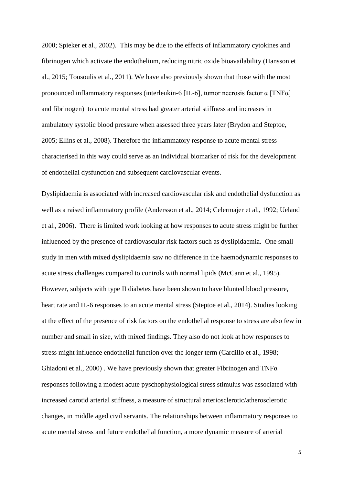2000; Spieker et al., 2002). This may be due to the effects of inflammatory cytokines and fibrinogen which activate the endothelium, reducing nitric oxide bioavailability (Hansson et al., 2015; Tousoulis et al., 2011). We have also previously shown that those with the most pronounced inflammatory responses (interleukin-6 [IL-6], tumor necrosis factor α [TNFα] and fibrinogen) to acute mental stress had greater arterial stiffness and increases in ambulatory systolic blood pressure when assessed three years later (Brydon and Steptoe, 2005; Ellins et al., 2008). Therefore the inflammatory response to acute mental stress characterised in this way could serve as an individual biomarker of risk for the development of endothelial dysfunction and subsequent cardiovascular events.

Dyslipidaemia is associated with increased cardiovascular risk and endothelial dysfunction as well as a raised inflammatory profile (Andersson et al., 2014; Celermajer et al., 1992; Ueland et al., 2006). There is limited work looking at how responses to acute stress might be further influenced by the presence of cardiovascular risk factors such as dyslipidaemia. One small study in men with mixed dyslipidaemia saw no difference in the haemodynamic responses to acute stress challenges compared to controls with normal lipids (McCann et al., 1995). However, subjects with type II diabetes have been shown to have blunted blood pressure, heart rate and IL-6 responses to an acute mental stress (Steptoe et al., 2014). Studies looking at the effect of the presence of risk factors on the endothelial response to stress are also few in number and small in size, with mixed findings. They also do not look at how responses to stress might influence endothelial function over the longer term (Cardillo et al., 1998; Ghiadoni et al., 2000). We have previously shown that greater Fibrinogen and TNF $\alpha$ responses following a modest acute pyschophysiological stress stimulus was associated with increased carotid arterial stiffness, a measure of structural arteriosclerotic/atherosclerotic changes, in middle aged civil servants. The relationships between inflammatory responses to acute mental stress and future endothelial function, a more dynamic measure of arterial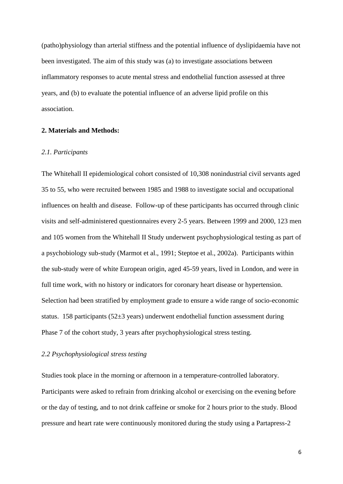(patho)physiology than arterial stiffness and the potential influence of dyslipidaemia have not been investigated. The aim of this study was (a) to investigate associations between inflammatory responses to acute mental stress and endothelial function assessed at three years, and (b) to evaluate the potential influence of an adverse lipid profile on this association.

#### **2. Materials and Methods:**

#### *2.1. Participants*

The Whitehall II epidemiological cohort consisted of 10,308 nonindustrial civil servants aged 35 to 55, who were recruited between 1985 and 1988 to investigate social and occupational influences on health and disease. Follow-up of these participants has occurred through clinic visits and self-administered questionnaires every 2-5 years. Between 1999 and 2000, 123 men and 105 women from the Whitehall II Study underwent psychophysiological testing as part of a psychobiology sub-study (Marmot et al., 1991; Steptoe et al., 2002a). Participants within the sub-study were of white European origin, aged 45-59 years, lived in London, and were in full time work, with no history or indicators for coronary heart disease or hypertension. Selection had been stratified by employment grade to ensure a wide range of socio-economic status. 158 participants (52±3 years) underwent endothelial function assessment during Phase 7 of the cohort study, 3 years after psychophysiological stress testing.

#### *2.2 Psychophysiological stress testing*

Studies took place in the morning or afternoon in a temperature-controlled laboratory. Participants were asked to refrain from drinking alcohol or exercising on the evening before or the day of testing, and to not drink caffeine or smoke for 2 hours prior to the study. Blood pressure and heart rate were continuously monitored during the study using a Partapress-2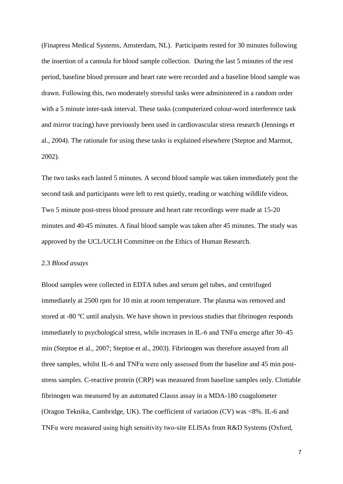(Finapress Medical Systems, Amsterdam, NL). Participants rested for 30 minutes following the insertion of a cannula for blood sample collection. During the last 5 minutes of the rest period, baseline blood pressure and heart rate were recorded and a baseline blood sample was drawn. Following this, two moderately stressful tasks were administered in a random order with a 5 minute inter-task interval. These tasks (computerized colour-word interference task and mirror tracing) have previously been used in cardiovascular stress research (Jennings et al., 2004). The rationale for using these tasks is explained elsewhere (Steptoe and Marmot, 2002).

The two tasks each lasted 5 minutes. A second blood sample was taken immediately post the second task and participants were left to rest quietly, reading or watching wildlife videos. Two 5 minute post-stress blood pressure and heart rate recordings were made at 15-20 minutes and 40-45 minutes. A final blood sample was taken after 45 minutes. The study was approved by the UCL/UCLH Committee on the Ethics of Human Research.

#### 2.3 *Blood assays*

Blood samples were collected in EDTA tubes and serum gel tubes, and centrifuged immediately at 2500 rpm for 10 min at room temperature. The plasma was removed and stored at -80  $\degree$ C until analysis. We have shown in previous studies that fibrinogen responds immediately to psychological stress, while increases in IL-6 and TNF $\alpha$  emerge after 30–45 min (Steptoe et al., 2007; Steptoe et al., 2003). Fibrinogen was therefore assayed from all three samples, whilst IL-6 and TNFα were only assessed from the baseline and 45 min poststress samples. C-reactive protein (CRP) was measured from baseline samples only. Clottable fibrinogen was measured by an automated Clauss assay in a MDA-180 coagulometer (Oragon Teknika, Cambridge, UK). The coefficient of variation (CV) was <8%. IL-6 and TNFα were measured using high sensitivity two-site ELISAs from R&D Systems (Oxford,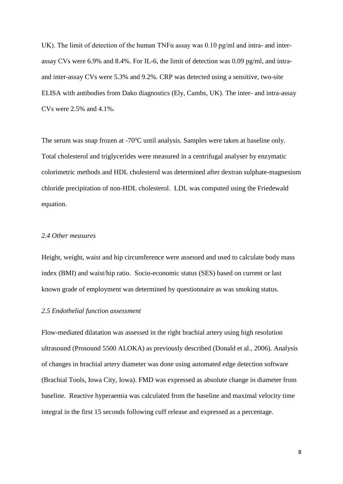UK). The limit of detection of the human TNF $\alpha$  assay was 0.10 pg/ml and intra- and interassay CVs were 6.9% and 8.4%. For IL-6, the limit of detection was 0.09 pg/ml, and intraand inter-assay CVs were 5.3% and 9.2%. CRP was detected using a sensitive, two-site ELISA with antibodies from Dako diagnostics (Ely, Cambs, UK). The inter- and intra-assay CVs were 2.5% and 4.1%.

The serum was snap frozen at  $-70^{\circ}$ C until analysis. Samples were taken at baseline only. Total cholesterol and triglycerides were measured in a centrifugal analyser by enzymatic colorimetric methods and HDL cholesterol was determined after dextran sulphate-magnesium chloride precipitation of non-HDL cholesterol. LDL was computed using the Friedewald equation.

#### *2.4 Other measures*

Height, weight, waist and hip circumference were assessed and used to calculate body mass index (BMI) and waist/hip ratio. Socio-economic status (SES) based on current or last known grade of employment was determined by questionnaire as was smoking status.

#### *2.5 Endothelial function assessment*

Flow-mediated dilatation was assessed in the right brachial artery using high resolution ultrasound (Prosound 5500 ALOKA) as previously described (Donald et al., 2006). Analysis of changes in brachial artery diameter was done using automated edge detection software (Brachial Tools, Iowa City, Iowa). FMD was expressed as absolute change in diameter from baseline. Reactive hyperaemia was calculated from the baseline and maximal velocity time integral in the first 15 seconds following cuff release and expressed as a percentage.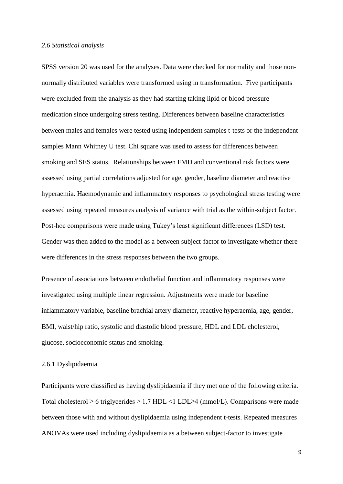#### *2.6 Statistical analysis*

SPSS version 20 was used for the analyses. Data were checked for normality and those nonnormally distributed variables were transformed using ln transformation. Five participants were excluded from the analysis as they had starting taking lipid or blood pressure medication since undergoing stress testing. Differences between baseline characteristics between males and females were tested using independent samples t-tests or the independent samples Mann Whitney U test. Chi square was used to assess for differences between smoking and SES status. Relationships between FMD and conventional risk factors were assessed using partial correlations adjusted for age, gender, baseline diameter and reactive hyperaemia. Haemodynamic and inflammatory responses to psychological stress testing were assessed using repeated measures analysis of variance with trial as the within-subject factor. Post-hoc comparisons were made using Tukey's least significant differences (LSD) test. Gender was then added to the model as a between subject-factor to investigate whether there were differences in the stress responses between the two groups.

Presence of associations between endothelial function and inflammatory responses were investigated using multiple linear regression. Adjustments were made for baseline inflammatory variable, baseline brachial artery diameter, reactive hyperaemia, age, gender, BMI, waist/hip ratio, systolic and diastolic blood pressure, HDL and LDL cholesterol, glucose, socioeconomic status and smoking.

#### 2.6.1 Dyslipidaemia

Participants were classified as having dyslipidaemia if they met one of the following criteria. Total cholesterol  $\geq 6$  triglycerides  $\geq 1.7$  HDL <1 LDL $\geq 4$  (mmol/L). Comparisons were made between those with and without dyslipidaemia using independent t-tests. Repeated measures ANOVAs were used including dyslipidaemia as a between subject-factor to investigate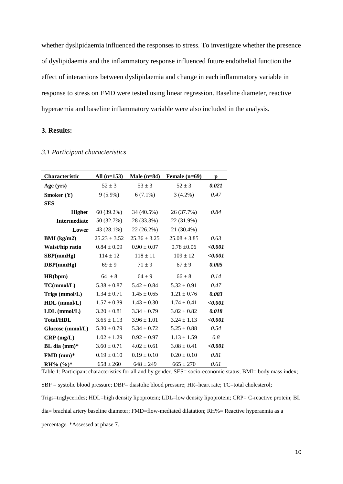whether dyslipidaemia influenced the responses to stress. To investigate whether the presence of dyslipidaemia and the inflammatory response influenced future endothelial function the effect of interactions between dyslipidaemia and change in each inflammatory variable in response to stress on FMD were tested using linear regression. Baseline diameter, reactive hyperaemia and baseline inflammatory variable were also included in the analysis.

### **3. Results:**

|  |  |  | 3.1 Participant characteristics |
|--|--|--|---------------------------------|
|--|--|--|---------------------------------|

| Characteristic      | All $(n=153)$    | Male $(n=84)$    | Female $(n=69)$  | р       |  |
|---------------------|------------------|------------------|------------------|---------|--|
| Age (yrs)           | $52 \pm 3$       | $53 \pm 3$       | $52 \pm 3$       | 0.021   |  |
| Smoker (Y)          | $9(5.9\%)$       | $6(7.1\%)$       | $3(4.2\%)$       | 0.47    |  |
| <b>SES</b>          |                  |                  |                  |         |  |
| <b>Higher</b>       | 60 (39.2%)       | 34 (40.5%)       | 26 (37.7%)       | 0.84    |  |
| <b>Intermediate</b> | 50 (32.7%)       | 28 (33.3%)       | 22 (31.9%)       |         |  |
| Lower               | $43(28.1\%)$     | 22(26.2%)        | 21 (30.4%)       |         |  |
| BMI (kg/m2)         | $25.23 \pm 3.52$ | $25.36 \pm 3.25$ | $25.08 \pm 3.85$ | 0.63    |  |
| Waist/hip ratio     | $0.84 \pm 0.09$  | $0.90 \pm 0.07$  | $0.78 \pm 0.06$  | <,0.001 |  |
| SBP(mmHg)           | $114 \pm 12$     | $118 \pm 11$     | $109 \pm 12$     | <,0.001 |  |
| DBP(mmHg)           | $69 \pm 9$       | $71 \pm 9$       | $67 \pm 9$       | 0.005   |  |
| HR(bpm)             | $64 \pm 8$       | $64 \pm 9$       | $66 \pm 8$       | 0.14    |  |
| TC(mmol/L)          | $5.38 \pm 0.87$  | $5.42 \pm 0.84$  | $5.32 \pm 0.91$  | 0.47    |  |
| Trigs (mmol/L)      | $1.34 \pm 0.71$  | $1.45 \pm 0.65$  | $1.21 \pm 0.76$  | 0.003   |  |
| $HDL$ (mmol/L)      | $1.57 \pm 0.39$  | $1.43 \pm 0.30$  | $1.74 \pm 0.41$  | <,0.001 |  |
| $LDL$ (mmol/ $L$ )  | $3.20 \pm 0.81$  | $3.34 \pm 0.79$  | $3.02 \pm 0.82$  | 0.018   |  |
| <b>Total/HDL</b>    | $3.65 \pm 1.13$  | $3.96 \pm 1.01$  | $3.24 \pm 1.13$  | <,0.001 |  |
| Glucose (mmol/L)    | $5.30 \pm 0.79$  | $5.34 \pm 0.72$  | $5.25 \pm 0.88$  | 0.54    |  |
| $CRP$ (mg/L)        | $1.02 \pm 1.29$  | $0.92 \pm 0.97$  | $1.13 \pm 1.59$  | 0.8     |  |
| BL dia $(mm)^*$     | $3.60 \pm 0.71$  | $4.02 \pm 0.61$  | $3.08 \pm 0.41$  | < 0.001 |  |
| $FMD (mm)*$         | $0.19 \pm 0.10$  | $0.19 \pm 0.10$  | $0.20 \pm 0.10$  | 0.81    |  |
| RH% $(\%)^*$        | $658 \pm 260$    | $648 \pm 249$    | $665 \pm 270$    | 0.61    |  |

Table 1: Participant characteristics for all and by gender. SES= socio-economic status; BMI= body mass index; SBP = systolic blood pressure; DBP= diastolic blood pressure; HR=heart rate; TC=total cholesterol; Trigs=triglycerides; HDL=high density lipoprotein; LDL=low density lipoprotein; CRP= C-reactive protein; BL dia= brachial artery baseline diameter; FMD=flow-mediated dilatation; RH%= Reactive hyperaemia as a percentage. \*Assessed at phase 7.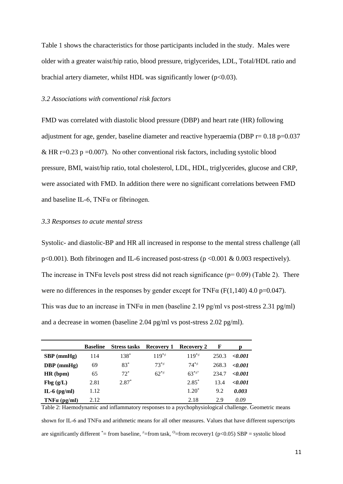Table 1 shows the characteristics for those participants included in the study. Males were older with a greater waist/hip ratio, blood pressure, triglycerides, LDL, Total/HDL ratio and brachial artery diameter, whilst HDL was significantly lower ( $p<0.03$ ).

#### *3.2 Associations with conventional risk factors*

FMD was correlated with diastolic blood pressure (DBP) and heart rate (HR) following adjustment for age, gender, baseline diameter and reactive hyperaemia (DBP  $r= 0.18 \text{ p} = 0.037$ ) & HR r=0.23 p =0.007). No other conventional risk factors, including systolic blood pressure, BMI, waist/hip ratio, total cholesterol, LDL, HDL, triglycerides, glucose and CRP, were associated with FMD. In addition there were no significant correlations between FMD and baseline IL-6, TNF $\alpha$  or fibrinogen.

#### *3.3 Responses to acute mental stress*

Systolic- and diastolic-BP and HR all increased in response to the mental stress challenge (all p<0.001). Both fibrinogen and IL-6 increased post-stress (p <0.001 & 0.003 respectively). The increase in TNF $\alpha$  levels post stress did not reach significance ( $p= 0.09$ ) (Table 2). There were no differences in the responses by gender except for  $TNF\alpha$  (F(1,140) 4.0 p=0.047). This was due to an increase in TNF $\alpha$  in men (baseline 2.19 pg/ml vs post-stress 2.31 pg/ml) and a decrease in women (baseline 2.04 pg/ml vs post-stress 2.02 pg/ml).

|                     | <b>Baseline</b> |         | <b>Stress tasks</b> Recovery 1 | Recovery 2               | -F    |                 |
|---------------------|-----------------|---------|--------------------------------|--------------------------|-------|-----------------|
| $SBP$ (mmHg)        | 114             | 138*    | $119^{*}$                      | $119^{*}$                | 250.3 | $\langle 0.001$ |
| $DBP$ (mmHg)        | 69              | $83*$   | $73^{*}$                       | $74**$                   | 268.3 | $\langle 0.001$ |
| HR (bpm)            | 65              | $72^*$  | $62^{*}$                       | $63^{\ast}$ <sup>*</sup> | 234.7 | $\langle 0.001$ |
| Fbg(g/L)            | 2.81            | $2.87*$ |                                | $2.85*$                  | 13.4  | < 0.001         |
| IL-6 $(pg/ml)$      | 1.12            |         |                                | $1.20^*$                 | 9.2   | 0.003           |
| $TNF\alpha$ (pg/ml) | 2.12            |         |                                | 2.18                     | 2.9   | 0.09            |

Table 2: Haemodynamic and inflammatory responses to a psychophysiological challenge. Geometric means shown for IL-6 and TNF $\alpha$  and arithmetic means for all other measures. Values that have different superscripts are significantly different \*= from baseline,  $\neq$ =from task,  $\degree$ =from recovery1 (p<0.05) SBP = systolic blood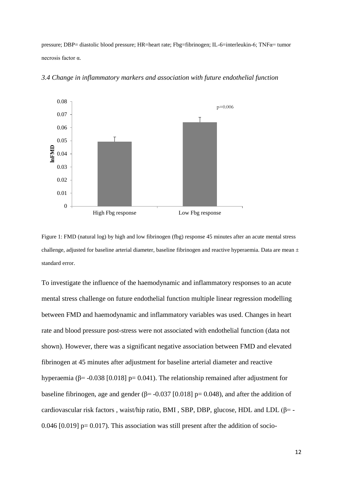pressure; DBP= diastolic blood pressure; HR=heart rate; Fbg=fibrinogen; IL-6=interleukin-6; TNFα= tumor necrosis factor α.



*3.4 Change in inflammatory markers and association with future endothelial function* 

Figure 1: FMD (natural log) by high and low fibrinogen (fbg) response 45 minutes after an acute mental stress challenge, adjusted for baseline arterial diameter, baseline fibrinogen and reactive hyperaemia. Data are mean  $\pm$ standard error.

To investigate the influence of the haemodynamic and inflammatory responses to an acute mental stress challenge on future endothelial function multiple linear regression modelling between FMD and haemodynamic and inflammatory variables was used. Changes in heart rate and blood pressure post-stress were not associated with endothelial function (data not shown). However, there was a significant negative association between FMD and elevated fibrinogen at 45 minutes after adjustment for baseline arterial diameter and reactive hyperaemia (β= -0.038 [0.018] p= 0.041). The relationship remained after adjustment for baseline fibrinogen, age and gender ( $\beta$ = -0.037 [0.018] p= 0.048), and after the addition of cardiovascular risk factors, waist/hip ratio, BMI, SBP, DBP, glucose, HDL and LDL ( $\beta$ = -0.046 [0.019]  $p= 0.017$ ). This association was still present after the addition of socio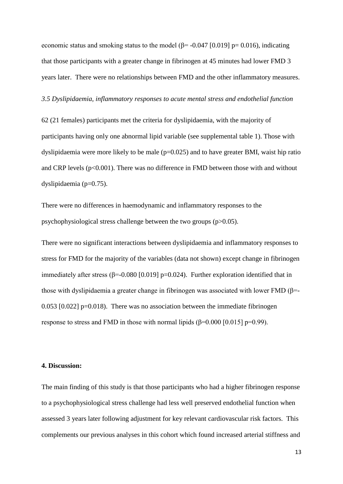economic status and smoking status to the model ( $\beta$ = -0.047 [0.019] p= 0.016), indicating that those participants with a greater change in fibrinogen at 45 minutes had lower FMD 3 years later. There were no relationships between FMD and the other inflammatory measures.

#### *3.5 Dyslipidaemia, inflammatory responses to acute mental stress and endothelial function*

62 (21 females) participants met the criteria for dyslipidaemia, with the majority of participants having only one abnormal lipid variable (see supplemental table 1). Those with dyslipidaemia were more likely to be male  $(p=0.025)$  and to have greater BMI, waist hip ratio and CRP levels (p<0.001). There was no difference in FMD between those with and without dyslipidaemia (p=0.75).

There were no differences in haemodynamic and inflammatory responses to the psychophysiological stress challenge between the two groups (p>0.05).

There were no significant interactions between dyslipidaemia and inflammatory responses to stress for FMD for the majority of the variables (data not shown) except change in fibrinogen immediately after stress ( $\beta$ =-0.080 [0.019] p=0.024). Further exploration identified that in those with dyslipidaemia a greater change in fibrinogen was associated with lower FMD ( $\beta$ =- $0.053$  [0.022] p=0.018). There was no association between the immediate fibrinogen response to stress and FMD in those with normal lipids ( $\beta$ =0.000 [0.015] p=0.99).

#### **4. Discussion:**

The main finding of this study is that those participants who had a higher fibrinogen response to a psychophysiological stress challenge had less well preserved endothelial function when assessed 3 years later following adjustment for key relevant cardiovascular risk factors. This complements our previous analyses in this cohort which found increased arterial stiffness and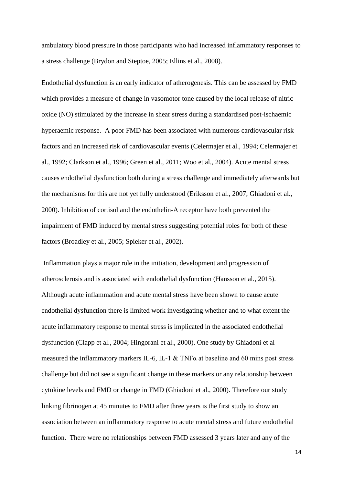ambulatory blood pressure in those participants who had increased inflammatory responses to a stress challenge (Brydon and Steptoe, 2005; Ellins et al., 2008).

Endothelial dysfunction is an early indicator of atherogenesis. This can be assessed by FMD which provides a measure of change in vasomotor tone caused by the local release of nitric oxide (NO) stimulated by the increase in shear stress during a standardised post-ischaemic hyperaemic response. A poor FMD has been associated with numerous cardiovascular risk factors and an increased risk of cardiovascular events (Celermajer et al., 1994; Celermajer et al., 1992; Clarkson et al., 1996; Green et al., 2011; Woo et al., 2004). Acute mental stress causes endothelial dysfunction both during a stress challenge and immediately afterwards but the mechanisms for this are not yet fully understood (Eriksson et al., 2007; Ghiadoni et al., 2000). Inhibition of cortisol and the endothelin-A receptor have both prevented the impairment of FMD induced by mental stress suggesting potential roles for both of these factors (Broadley et al., 2005; Spieker et al., 2002).

 Inflammation plays a major role in the initiation, development and progression of atherosclerosis and is associated with endothelial dysfunction (Hansson et al., 2015). Although acute inflammation and acute mental stress have been shown to cause acute endothelial dysfunction there is limited work investigating whether and to what extent the acute inflammatory response to mental stress is implicated in the associated endothelial dysfunction (Clapp et al., 2004; Hingorani et al., 2000). One study by Ghiadoni et al measured the inflammatory markers IL-6, IL-1  $\&$  TNF $\alpha$  at baseline and 60 mins post stress challenge but did not see a significant change in these markers or any relationship between cytokine levels and FMD or change in FMD (Ghiadoni et al., 2000). Therefore our study linking fibrinogen at 45 minutes to FMD after three years is the first study to show an association between an inflammatory response to acute mental stress and future endothelial function. There were no relationships between FMD assessed 3 years later and any of the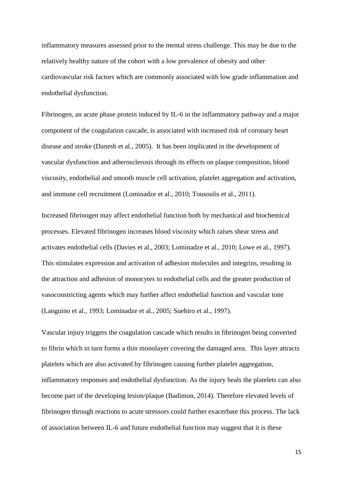inflammatory measures assessed prior to the mental stress challenge. This may be due to the relatively healthy nature of the cohort with a low prevalence of obesity and other cardiovascular risk factors which are commonly associated with low grade inflammation and endothelial dysfunction.

Fibrinogen, an acute phase protein induced by IL-6 in the inflammatory pathway and a major component of the coagulation cascade, is associated with increased risk of coronary heart disease and stroke (Danesh et al., 2005). It has been implicated in the development of vascular dysfunction and atherosclerosis through its effects on plaque composition, blood viscosity, endothelial and smooth muscle cell activation, platelet aggregation and activation, and immune cell recruitment (Lominadze et al., 2010; Tousoulis et al., 2011).

Increased fibrinogen may affect endothelial function both by mechanical and biochemical processes. Elevated fibrinogen increases blood viscosity which raises shear stress and activates endothelial cells (Davies et al., 2003; Lominadze et al., 2010; Lowe et al., 1997). This stimulates expression and activation of adhesion molecules and integrins, resulting in the attraction and adhesion of monocytes to endothelial cells and the greater production of vasoconstricting agents which may further affect endothelial function and vascular tone (Languino et al., 1993; Lominadze et al., 2005; Suehiro et al., 1997).

Vascular injury triggers the coagulation cascade which results in fibrinogen being converted to fibrin which in turn forms a thin monolayer covering the damaged area. This layer attracts platelets which are also activated by fibrinogen causing further platelet aggregation, inflammatory responses and endothelial dysfunction. As the injury heals the platelets can also become part of the developing lesion/plaque (Badimon, 2014). Therefore elevated levels of fibrinogen through reactions to acute stressors could further exacerbate this process. The lack of association between IL-6 and future endothelial function may suggest that it is these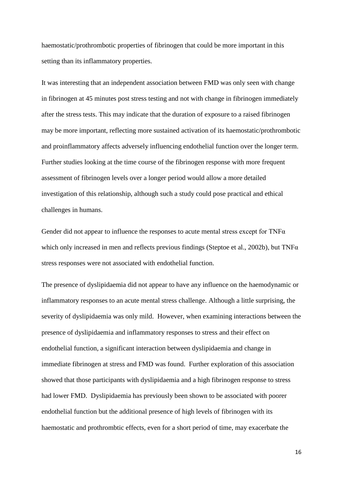haemostatic/prothrombotic properties of fibrinogen that could be more important in this setting than its inflammatory properties.

It was interesting that an independent association between FMD was only seen with change in fibrinogen at 45 minutes post stress testing and not with change in fibrinogen immediately after the stress tests. This may indicate that the duration of exposure to a raised fibrinogen may be more important, reflecting more sustained activation of its haemostatic/prothrombotic and proinflammatory affects adversely influencing endothelial function over the longer term. Further studies looking at the time course of the fibrinogen response with more frequent assessment of fibrinogen levels over a longer period would allow a more detailed investigation of this relationship, although such a study could pose practical and ethical challenges in humans.

Gender did not appear to influence the responses to acute mental stress except for  $TNF\alpha$ which only increased in men and reflects previous findings (Steptoe et al., 2002b), but TNFα stress responses were not associated with endothelial function.

The presence of dyslipidaemia did not appear to have any influence on the haemodynamic or inflammatory responses to an acute mental stress challenge. Although a little surprising, the severity of dyslipidaemia was only mild. However, when examining interactions between the presence of dyslipidaemia and inflammatory responses to stress and their effect on endothelial function, a significant interaction between dyslipidaemia and change in immediate fibrinogen at stress and FMD was found. Further exploration of this association showed that those participants with dyslipidaemia and a high fibrinogen response to stress had lower FMD. Dyslipidaemia has previously been shown to be associated with poorer endothelial function but the additional presence of high levels of fibrinogen with its haemostatic and prothrombtic effects, even for a short period of time, may exacerbate the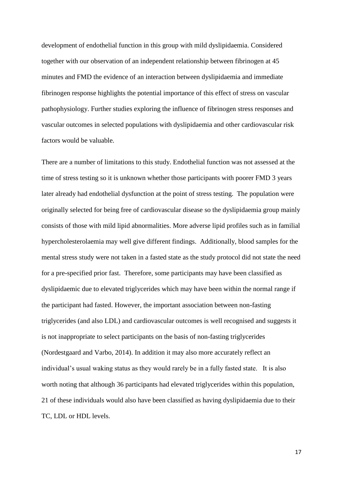development of endothelial function in this group with mild dyslipidaemia. Considered together with our observation of an independent relationship between fibrinogen at 45 minutes and FMD the evidence of an interaction between dyslipidaemia and immediate fibrinogen response highlights the potential importance of this effect of stress on vascular pathophysiology. Further studies exploring the influence of fibrinogen stress responses and vascular outcomes in selected populations with dyslipidaemia and other cardiovascular risk factors would be valuable.

There are a number of limitations to this study. Endothelial function was not assessed at the time of stress testing so it is unknown whether those participants with poorer FMD 3 years later already had endothelial dysfunction at the point of stress testing. The population were originally selected for being free of cardiovascular disease so the dyslipidaemia group mainly consists of those with mild lipid abnormalities. More adverse lipid profiles such as in familial hypercholesterolaemia may well give different findings. Additionally, blood samples for the mental stress study were not taken in a fasted state as the study protocol did not state the need for a pre-specified prior fast. Therefore, some participants may have been classified as dyslipidaemic due to elevated triglycerides which may have been within the normal range if the participant had fasted. However, the important association between non-fasting triglycerides (and also LDL) and cardiovascular outcomes is well recognised and suggests it is not inappropriate to select participants on the basis of non-fasting triglycerides (Nordestgaard and Varbo, 2014). In addition it may also more accurately reflect an individual's usual waking status as they would rarely be in a fully fasted state. It is also worth noting that although 36 participants had elevated triglycerides within this population, 21 of these individuals would also have been classified as having dyslipidaemia due to their TC, LDL or HDL levels.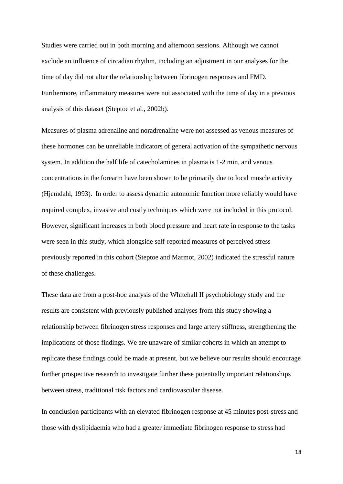Studies were carried out in both morning and afternoon sessions. Although we cannot exclude an influence of circadian rhythm, including an adjustment in our analyses for the time of day did not alter the relationship between fibrinogen responses and FMD. Furthermore, inflammatory measures were not associated with the time of day in a previous analysis of this dataset (Steptoe et al., 2002b).

Measures of plasma adrenaline and noradrenaline were not assessed as venous measures of these hormones can be unreliable indicators of general activation of the sympathetic nervous system. In addition the half life of catecholamines in plasma is 1-2 min, and venous concentrations in the forearm have been shown to be primarily due to local muscle activity (Hjemdahl, 1993). In order to assess dynamic autonomic function more reliably would have required complex, invasive and costly techniques which were not included in this protocol. However, significant increases in both blood pressure and heart rate in response to the tasks were seen in this study, which alongside self-reported measures of perceived stress previously reported in this cohort (Steptoe and Marmot, 2002) indicated the stressful nature of these challenges.

These data are from a post-hoc analysis of the Whitehall II psychobiology study and the results are consistent with previously published analyses from this study showing a relationship between fibrinogen stress responses and large artery stiffness, strengthening the implications of those findings. We are unaware of similar cohorts in which an attempt to replicate these findings could be made at present, but we believe our results should encourage further prospective research to investigate further these potentially important relationships between stress, traditional risk factors and cardiovascular disease.

In conclusion participants with an elevated fibrinogen response at 45 minutes post-stress and those with dyslipidaemia who had a greater immediate fibrinogen response to stress had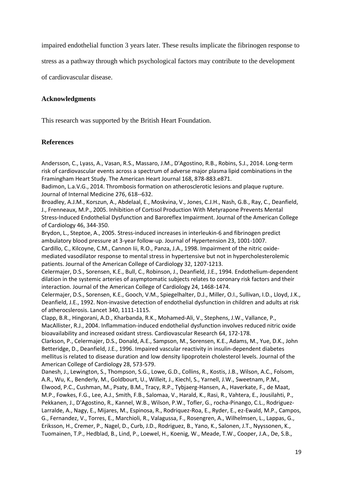impaired endothelial function 3 years later. These results implicate the fibrinogen response to

stress as a pathway through which psychological factors may contribute to the development

of cardiovascular disease.

# **Acknowledgments**

This research was supported by the British Heart Foundation.

## **References**

Andersson, C., Lyass, A., Vasan, R.S., Massaro, J.M., D'Agostino, R.B., Robins, S.J., 2014. Long-term risk of cardiovascular events across a spectrum of adverse major plasma lipid combinations in the Framingham Heart Study. The American Heart Journal 168, 878-883.e871.

Badimon, L.a.V.G., 2014. Thrombosis formation on atherosclerotic lesions and plaque rupture. Journal of Internal Medicine 276, 618--632.

Broadley, A.J.M., Korszun, A., Abdelaal, E., Moskvina, V., Jones, C.J.H., Nash, G.B., Ray, C., Deanfield, J., Frenneaux, M.P., 2005. Inhibition of Cortisol Production With Metyrapone Prevents Mental Stress-Induced Endothelial Dysfunction and Baroreflex Impairment. Journal of the American College of Cardiology 46, 344-350.

Brydon, L., Steptoe, A., 2005. Stress-induced increases in interleukin-6 and fibrinogen predict ambulatory blood pressure at 3-year follow-up. Journal of Hypertension 23, 1001-1007. Cardillo, C., Kilcoyne, C.M., Cannon Iii, R.O., Panza, J.A., 1998. Impairment of the nitric oxidemediated vasodilator response to mental stress in hypertensive but not in hypercholesterolemic patients. Journal of the American College of Cardiology 32, 1207-1213.

Celermajer, D.S., Sorensen, K.E., Bull, C., Robinson, J., Deanfield, J.E., 1994. Endothelium-dependent dilation in the systemic arteries of asymptomatic subjects relates to coronary risk factors and their interaction. Journal of the American College of Cardiology 24, 1468-1474.

Celermajer, D.S., Sorensen, K.E., Gooch, V.M., Spiegelhalter, D.J., Miller, O.I., Sullivan, I.D., Lloyd, J.K., Deanfield, J.E., 1992. Non-invasive detection of endothelial dysfunction in children and adults at risk of atherocslerosis. Lancet 340, 1111-1115.

Clapp, B.R., Hingorani, A.D., Kharbanda, R.K., Mohamed-Ali, V., Stephens, J.W., Vallance, P., MacAllister, R.J., 2004. Inflammation-induced endothelial dysfunction involves reduced nitric oxide bioavailability and increased oxidant stress. Cardiovascular Research 64, 172-178.

Clarkson, P., Celermajer, D.S., Donald, A.E., Sampson, M., Sorensen, K.E., Adams, M., Yue, D.K., John Betteridge, D., Deanfield, J.E., 1996. Impaired vascular reactivity in insulin-dependent diabetes mellitus is related to disease duration and low density lipoprotein cholesterol levels. Journal of the American College of Cardiology 28, 573-579.

Danesh, J., Lewington, S., Thompson, S.G., Lowe, G.D., Collins, R., Kostis, J.B., Wilson, A.C., Folsom, A.R., Wu, K., Benderly, M., Goldbourt, U., Willeit, J., Kiechl, S., Yarnell, J.W., Sweetnam, P.M., Elwood, P.C., Cushman, M., Psaty, B.M., Tracy, R.P., Tybjaerg-Hansen, A., Haverkate, F., de Maat, M.P., Fowkes, F.G., Lee, A.J., Smith, F.B., Salomaa, V., Harald, K., Rasi, R., Vahtera, E., Jousilahti, P., Pekkanen, J., D'Agostino, R., Kannel, W.B., Wilson, P.W., Tofler, G., rocha-Pinango, C.L., Rodriguez-Larralde, A., Nagy, E., Mijares, M., Espinosa, R., Rodriquez-Roa, E., Ryder, E., ez-Ewald, M.P., Campos, G., Fernandez, V., Torres, E., Marchioli, R., Valagussa, F., Rosengren, A., Wilhelmsen, L., Lappas, G., Eriksson, H., Cremer, P., Nagel, D., Curb, J.D., Rodriguez, B., Yano, K., Salonen, J.T., Nyyssonen, K., Tuomainen, T.P., Hedblad, B., Lind, P., Loewel, H., Koenig, W., Meade, T.W., Cooper, J.A., De, S.B.,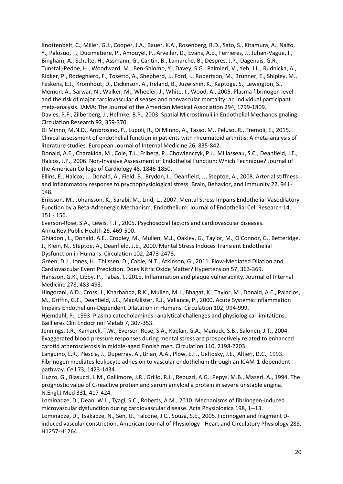Knottenbelt, C., Miller, G.J., Cooper, J.A., Bauer, K.A., Rosenberg, R.D., Sato, S., Kitamura, A., Naito, Y., Palosuo, T., Ducimetiere, P., Amouyel, P., Arveiler, D., Evans, A.E., Ferrieres, J., Juhan-Vague, I., Bingham, A., Schulte, H., Assmann, G., Cantin, B., Lamarche, B., Despres, J.P., Dagenais, G.R., Tunstall-Pedoe, H., Woodward, M., Ben-Shlomo, Y., Davey, S.G., Palmieri, V., Yeh, J.L., Rudnicka, A., Ridker, P., Rodeghiero, F., Tosetto, A., Shepherd, J., Ford, I., Robertson, M., Brunner, E., Shipley, M., Feskens, E.J., Kromhout, D., Dickinson, A., Ireland, B., Juzwishin, K., Kaptoge, S., Lewington, S., Memon, A., Sarwar, N., Walker, M., Wheeler, J., White, I., Wood, A., 2005. Plasma fibrinogen level and the risk of major cardiovascular diseases and nonvascular mortality: an individual participant meta-analysis. JAMA: The Journal of the American Medical Association 294, 1799-1809. Davies, P.F., Zilberberg, J., Helmke, B.P., 2003. Spatial Microstimuli in Endothelial Mechanosignaling.

Circulation Research 92, 359-370.

Di Minno, M.N.D., Ambrosino, P., Lupoli, R., Di Minno, A., Tasso, M., Peluso, R., Tremoli, E., 2015. Clinical assessment of endothelial function in patients with rheumatoid arthritis: A meta-analysis of literature studies. European Journal of Internal Medicine 26, 835-842.

Donald, A.E., Charakida, M., Cole, T.J., Friberg, P., Chowienczyk, P.J., Millasseau, S.C., Deanfield, J.E., Halcox, J.P., 2006. Non-Invasive Assessment of Endothelial Function: Which Technique? Journal of the American College of Cardiology 48, 1846-1850.

Ellins, E., Halcox, J., Donald, A., Field, B., Brydon, L., Deanfield, J., Steptoe, A., 2008. Arterial stiffness and inflammatory response to psychophysiological stress. Brain, Behavior, and Immunity 22, 941- 948.

Eriksson, M., Johansson, K., Sarabi, M., Lind, L., 2007. Mental Stress Impairs Endothelial Vasodilatory Function by a Beta-Adrenergic Mechanism. Endothelium: Journal of Endothelial Cell Research 14, 151 - 156.

Everson-Rose, S.A., Lewis, T.T., 2005. Psychosocial factors and cardiovascular diseases. Annu.Rev.Public Health 26, 469-500.

Ghiadoni, L., Donald, A.E., Cropley, M., Mullen, M.J., Oakley, G., Taylor, M., O'Connor, G., Betteridge, J., Klein, N., Steptoe, A., Deanfield, J.E., 2000. Mental Stress Induces Transient Endothelial Dysfunction in Humans. Circulation 102, 2473-2478.

Green, D.J., Jones, H., Thijssen, D., Cable, N.T., Atkinson, G., 2011. Flow-Mediated Dilation and Cardiovascular Event Prediction: Does Nitric Oxide Matter? Hypertension 57, 363-369.

Hansson, G.K., Libby, P., Tabas, I., 2015. Inflammation and plaque vulnerability. Journal of Internal Medicine 278, 483-493.

Hingorani, A.D., Cross, J., Kharbanda, R.K., Mullen, M.J., Bhagat, K., Taylor, M., Donald, A.E., Palacios, M., Griffin, G.E., Deanfield, J.E., MacAllister, R.J., Vallance, P., 2000. Acute Systemic Inflammation Impairs Endothelium-Dependent Dilatation in Humans. Circulation 102, 994-999.

Hjemdahl, P., 1993. Plasma catecholamines--analytical challenges and physiological limitations. Baillieres Clin Endocrinol Metab 7, 307-353.

Jennings, J.R., Kamarck, T.W., Everson-Rose, S.A., Kaplan, G.A., Manuck, S.B., Salonen, J.T., 2004. Exaggerated blood pressure responses during mental stress are prospectively related to enhanced carotid atherosclerosis in middle-aged Finnish men. Circulation 110, 2198-2203.

Languino, L.R., Plescia, J., Duperray, A., Brian, A.A., Plow, E.F., Geltosky, J.E., Altieri, D.C., 1993. Fibrinogen mediates leukocyte adhesion to vascular endothelium through an ICAM-1-dependent pathway. Cell 73, 1423-1434.

Liuzzo, G., Biasucci, L.M., Gallimore, J.R., Grillo, R.L., Rebuzzi, A.G., Pepys, M.B., Maseri, A., 1994. The prognostic value of C-reactive protein and serum amyloid a protein in severe unstable angina. N.Engl.J Med 331, 417-424.

Lominadze, D., Dean, W.L., Tyagi, S.C., Roberts, A.M., 2010. Mechanisms of fibrinogen-induced microvascular dysfunction during cardiovascular disease. Acta Physiologica 198, 1--13.

Lominadze, D., Tsakadze, N., Sen, U., Falcone, J.C., Souza, S.E., 2005. Fibrinogen and fragment Dinduced vascular constriction. American Journal of Physiology - Heart and Circulatory Physiology 288, H1257-H1264.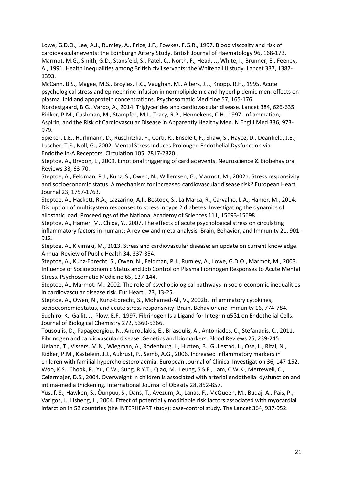Lowe, G.D.O., Lee, A.J., Rumley, A., Price, J.F., Fowkes, F.G.R., 1997. Blood viscosity and risk of cardiovascular events: the Edinburgh Artery Study. British Journal of Haematology 96, 168-173. Marmot, M.G., Smith, G.D., Stansfeld, S., Patel, C., North, F., Head, J., White, I., Brunner, E., Feeney, A., 1991. Health inequalities among British civil servants: the Whitehall II study. Lancet 337, 1387- 1393.

McCann, B.S., Magee, M.S., Broyles, F.C., Vaughan, M., Albers, J.J., Knopp, R.H., 1995. Acute psychological stress and epinephrine infusion in normolipidemic and hyperlipidemic men: effects on plasma lipid and apoprotein concentrations. Psychosomatic Medicine 57, 165-176.

Nordestgaard, B.G., Varbo, A., 2014. Triglycerides and cardiovascular disease. Lancet 384, 626-635. Ridker, P.M., Cushman, M., Stampfer, M.J., Tracy, R.P., Hennekens, C.H., 1997. Inflammation, Aspirin, and the Risk of Cardiovascular Disease in Apparently Healthy Men. N Engl J Med 336, 973- 979.

Spieker, L.E., Hurlimann, D., Ruschitzka, F., Corti, R., Enseleit, F., Shaw, S., Hayoz, D., Deanfield, J.E., Luscher, T.F., Noll, G., 2002. Mental Stress Induces Prolonged Endothelial Dysfunction via Endothelin-A Receptors. Circulation 105, 2817-2820.

Steptoe, A., Brydon, L., 2009. Emotional triggering of cardiac events. Neuroscience & Biobehavioral Reviews 33, 63-70.

Steptoe, A., Feldman, P.J., Kunz, S., Owen, N., Willemsen, G., Marmot, M., 2002a. Stress responsivity and socioeconomic status. A mechanism for increased cardiovascular disease risk? European Heart Journal 23, 1757-1763.

Steptoe, A., Hackett, R.A., Lazzarino, A.I., Bostock, S., La Marca, R., Carvalho, L.A., Hamer, M., 2014. Disruption of multisystem responses to stress in type 2 diabetes: Investigating the dynamics of allostatic load. Proceedings of the National Academy of Sciences 111, 15693-15698.

Steptoe, A., Hamer, M., Chida, Y., 2007. The effects of acute psychological stress on circulating inflammatory factors in humans: A review and meta-analysis. Brain, Behavior, and Immunity 21, 901- 912.

Steptoe, A., Kivimaki, M., 2013. Stress and cardiovascular disease: an update on current knowledge. Annual Review of Public Health 34, 337-354.

Steptoe, A., Kunz-Ebrecht, S., Owen, N., Feldman, P.J., Rumley, A., Lowe, G.D.O., Marmot, M., 2003. Influence of Socioeconomic Status and Job Control on Plasma Fibrinogen Responses to Acute Mental Stress. Psychosomatic Medicine 65, 137-144.

Steptoe, A., Marmot, M., 2002. The role of psychobiological pathways in socio-economic inequalities in cardiovascular disease risk. Eur Heart J 23, 13-25.

Steptoe, A., Owen, N., Kunz-Ebrecht, S., Mohamed-Ali, V., 2002b. Inflammatory cytokines, socioeconomic status, and acute stress responsivity. Brain, Behavior and Immunity 16, 774-784. Suehiro, K., Gailit, J., Plow, E.F., 1997. Fibrinogen Is a Ligand for Integrin α5β1 on Endothelial Cells. Journal of Biological Chemistry 272, 5360-5366.

Tousoulis, D., Papageorgiou, N., Androulakis, E., Briasoulis, A., Antoniades, C., Stefanadis, C., 2011. Fibrinogen and cardiovascular disease: Genetics and biomarkers. Blood Reviews 25, 239-245. Ueland, T., Vissers, M.N., Wiegman, A., Rodenburg, J., Hutten, B., Gullestad, L., Ose, L., Rifai, N., Ridker, P.M., Kastelein, J.J., Aukrust, P., Semb, A.G., 2006. Increased inflammatory markers in children with familial hypercholesterolaemia. European Journal of Clinical Investigation 36, 147-152. Woo, K.S., Chook, P., Yu, C.W., Sung, R.Y.T., Qiao, M., Leung, S.S.F., Lam, C.W.K., Metreweli, C., Celermajer, D.S., 2004. Overweight in children is associated with arterial endothelial dysfunction and intima-media thickening. International Journal of Obesity 28, 852-857.

Yusuf, S., Hawken, S., Ôunpuu, S., Dans, T., Avezum, A., Lanas, F., McQueen, M., Budaj, A., Pais, P., Varigos, J., Lisheng, L., 2004. Effect of potentially modifiable risk factors associated with myocardial infarction in 52 countries (the INTERHEART study): case-control study. The Lancet 364, 937-952.